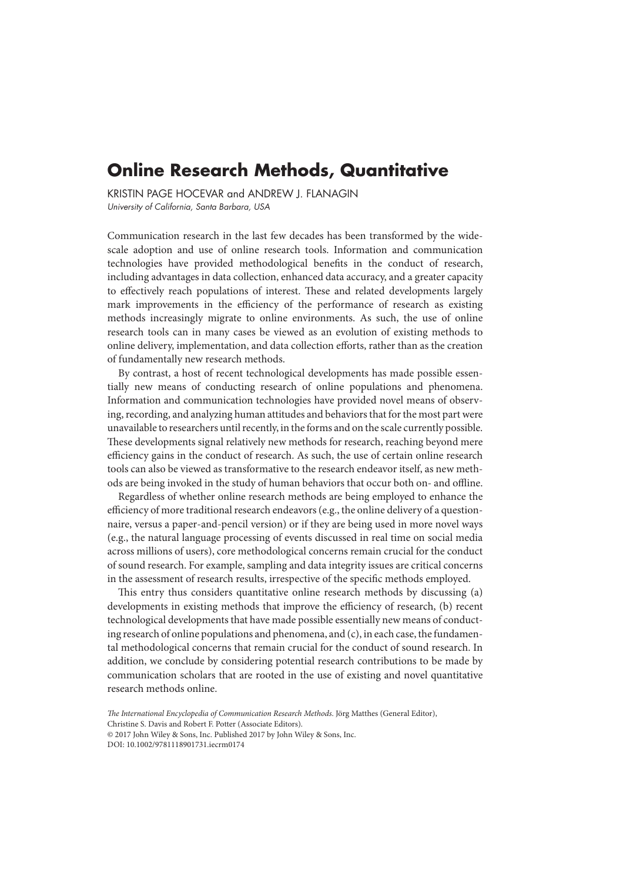# **Online Research Methods, Quantitative**

KRISTIN PAGE HOCEVAR and ANDREW J. FLANAGIN University of California, Santa Barbara, USA

Communication research in the last few decades has been transformed by the widescale adoption and use of online research tools. Information and communication technologies have provided methodological benefits in the conduct of research, including advantages in data collection, enhanced data accuracy, and a greater capacity to effectively reach populations of interest. These and related developments largely mark improvements in the efficiency of the performance of research as existing methods increasingly migrate to online environments. As such, the use of online research tools can in many cases be viewed as an evolution of existing methods to online delivery, implementation, and data collection efforts, rather than as the creation of fundamentally new research methods.

By contrast, a host of recent technological developments has made possible essentially new means of conducting research of online populations and phenomena. Information and communication technologies have provided novel means of observing, recording, and analyzing human attitudes and behaviors that for the most part were unavailable to researchers until recently, in the forms and on the scale currently possible. These developments signal relatively new methods for research, reaching beyond mere efficiency gains in the conduct of research. As such, the use of certain online research tools can also be viewed as transformative to the research endeavor itself, as new methods are being invoked in the study of human behaviors that occur both on- and offline.

Regardless of whether online research methods are being employed to enhance the efficiency of more traditional research endeavors (e.g., the online delivery of a questionnaire, versus a paper-and-pencil version) or if they are being used in more novel ways (e.g., the natural language processing of events discussed in real time on social media across millions of users), core methodological concerns remain crucial for the conduct of sound research. For example, sampling and data integrity issues are critical concerns in the assessment of research results, irrespective of the specific methods employed.

This entry thus considers quantitative online research methods by discussing (a) developments in existing methods that improve the efficiency of research, (b) recent technological developments that have made possible essentially new means of conducting research of online populations and phenomena, and (c), in each case, the fundamental methodological concerns that remain crucial for the conduct of sound research. In addition, we conclude by considering potential research contributions to be made by communication scholars that are rooted in the use of existing and novel quantitative research methods online.

*The International Encyclopedia of Communication Research Methods*. Jörg Matthes (General Editor), Christine S. Davis and Robert F. Potter (Associate Editors). © 2017 John Wiley & Sons, Inc. Published 2017 by John Wiley & Sons, Inc.

DOI: 10.1002/9781118901731.iecrm0174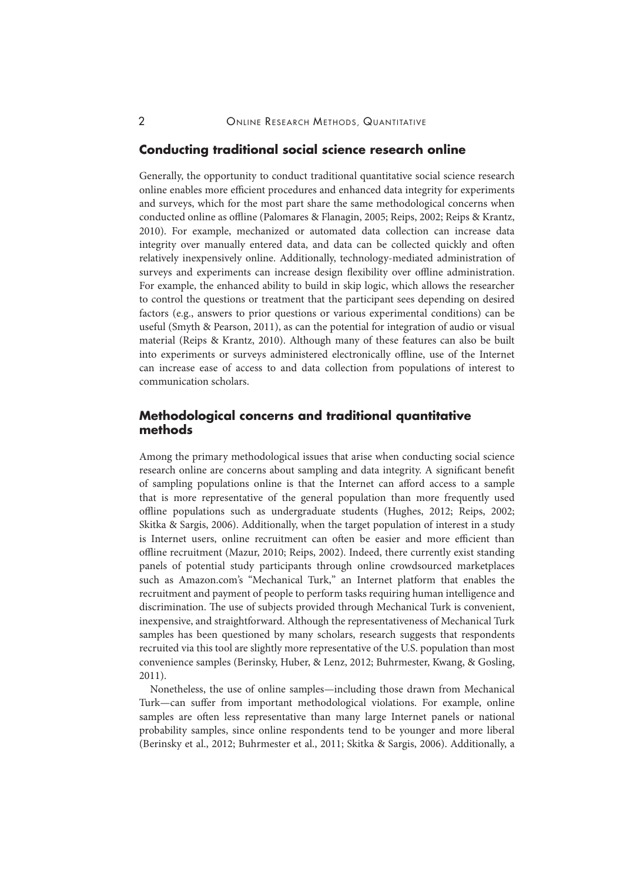#### **Conducting traditional social science research online**

Generally, the opportunity to conduct traditional quantitative social science research online enables more efficient procedures and enhanced data integrity for experiments and surveys, which for the most part share the same methodological concerns when conducted online as offline (Palomares & Flanagin, 2005; Reips, 2002; Reips & Krantz, 2010). For example, mechanized or automated data collection can increase data integrity over manually entered data, and data can be collected quickly and often relatively inexpensively online. Additionally, technology-mediated administration of surveys and experiments can increase design flexibility over offline administration. For example, the enhanced ability to build in skip logic, which allows the researcher to control the questions or treatment that the participant sees depending on desired factors (e.g., answers to prior questions or various experimental conditions) can be useful (Smyth & Pearson, 2011), as can the potential for integration of audio or visual material (Reips & Krantz, 2010). Although many of these features can also be built into experiments or surveys administered electronically offline, use of the Internet can increase ease of access to and data collection from populations of interest to communication scholars.

## **Methodological concerns and traditional quantitative methods**

Among the primary methodological issues that arise when conducting social science research online are concerns about sampling and data integrity. A significant benefit of sampling populations online is that the Internet can afford access to a sample that is more representative of the general population than more frequently used offline populations such as undergraduate students (Hughes, 2012; Reips, 2002; Skitka & Sargis, 2006). Additionally, when the target population of interest in a study is Internet users, online recruitment can often be easier and more efficient than offline recruitment (Mazur, 2010; Reips, 2002). Indeed, there currently exist standing panels of potential study participants through online crowdsourced marketplaces such as Amazon.com's "Mechanical Turk," an Internet platform that enables the recruitment and payment of people to perform tasks requiring human intelligence and discrimination. The use of subjects provided through Mechanical Turk is convenient, inexpensive, and straightforward. Although the representativeness of Mechanical Turk samples has been questioned by many scholars, research suggests that respondents recruited via this tool are slightly more representative of the U.S. population than most convenience samples (Berinsky, Huber, & Lenz, 2012; Buhrmester, Kwang, & Gosling, 2011).

Nonetheless, the use of online samples—including those drawn from Mechanical Turk—can suffer from important methodological violations. For example, online samples are often less representative than many large Internet panels or national probability samples, since online respondents tend to be younger and more liberal (Berinsky et al., 2012; Buhrmester et al., 2011; Skitka & Sargis, 2006). Additionally, a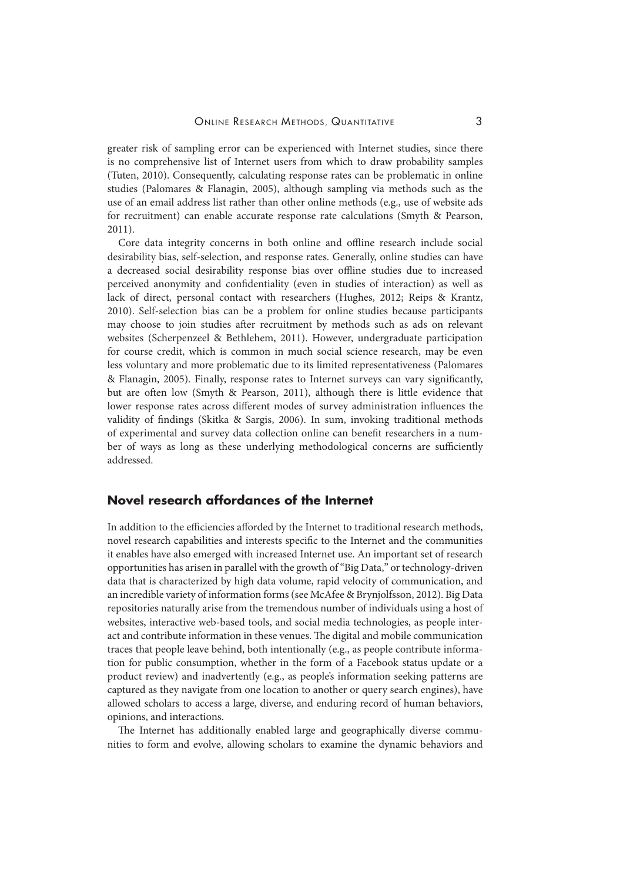greater risk of sampling error can be experienced with Internet studies, since there is no comprehensive list of Internet users from which to draw probability samples (Tuten, 2010). Consequently, calculating response rates can be problematic in online studies (Palomares & Flanagin, 2005), although sampling via methods such as the use of an email address list rather than other online methods (e.g., use of website ads for recruitment) can enable accurate response rate calculations (Smyth & Pearson, 2011).

Core data integrity concerns in both online and offline research include social desirability bias, self-selection, and response rates. Generally, online studies can have a decreased social desirability response bias over offline studies due to increased perceived anonymity and confidentiality (even in studies of interaction) as well as lack of direct, personal contact with researchers (Hughes, 2012; Reips & Krantz, 2010). Self-selection bias can be a problem for online studies because participants may choose to join studies after recruitment by methods such as ads on relevant websites (Scherpenzeel & Bethlehem, 2011). However, undergraduate participation for course credit, which is common in much social science research, may be even less voluntary and more problematic due to its limited representativeness (Palomares & Flanagin, 2005). Finally, response rates to Internet surveys can vary significantly, but are often low (Smyth & Pearson, 2011), although there is little evidence that lower response rates across different modes of survey administration influences the validity of findings (Skitka & Sargis, 2006). In sum, invoking traditional methods of experimental and survey data collection online can benefit researchers in a number of ways as long as these underlying methodological concerns are sufficiently addressed.

# **Novel research affordances of the Internet**

In addition to the efficiencies afforded by the Internet to traditional research methods, novel research capabilities and interests specific to the Internet and the communities it enables have also emerged with increased Internet use. An important set of research opportunities has arisen in parallel with the growth of "Big Data," or technology-driven data that is characterized by high data volume, rapid velocity of communication, and an incredible variety of information forms (see McAfee & Brynjolfsson, 2012). Big Data repositories naturally arise from the tremendous number of individuals using a host of websites, interactive web-based tools, and social media technologies, as people interact and contribute information in these venues. The digital and mobile communication traces that people leave behind, both intentionally (e.g., as people contribute information for public consumption, whether in the form of a Facebook status update or a product review) and inadvertently (e.g., as people's information seeking patterns are captured as they navigate from one location to another or query search engines), have allowed scholars to access a large, diverse, and enduring record of human behaviors, opinions, and interactions.

The Internet has additionally enabled large and geographically diverse communities to form and evolve, allowing scholars to examine the dynamic behaviors and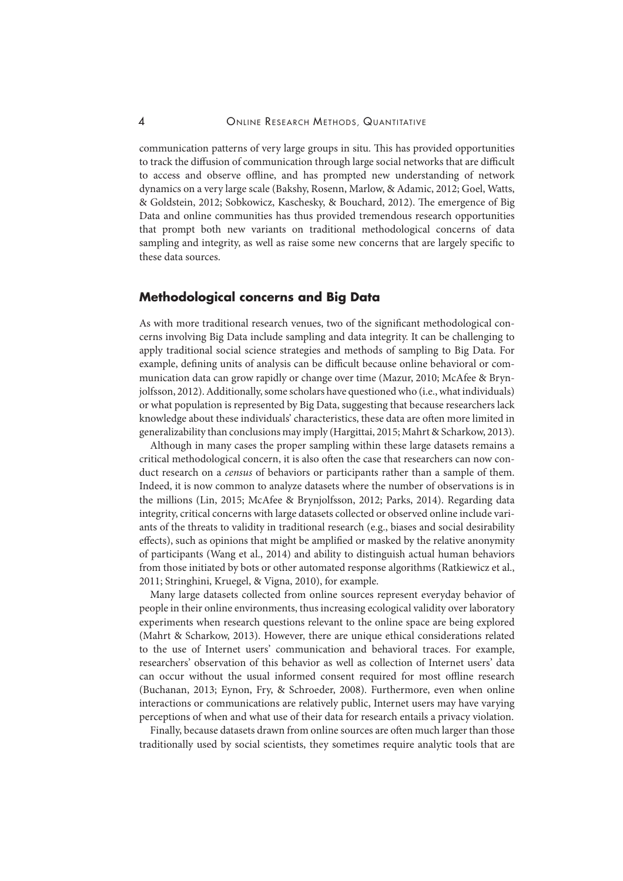communication patterns of very large groups in situ. This has provided opportunities to track the diffusion of communication through large social networks that are difficult to access and observe offline, and has prompted new understanding of network dynamics on a very large scale (Bakshy, Rosenn, Marlow, & Adamic, 2012; Goel, Watts, & Goldstein, 2012; Sobkowicz, Kaschesky, & Bouchard, 2012). The emergence of Big Data and online communities has thus provided tremendous research opportunities that prompt both new variants on traditional methodological concerns of data sampling and integrity, as well as raise some new concerns that are largely specific to these data sources.

### **Methodological concerns and Big Data**

As with more traditional research venues, two of the significant methodological concerns involving Big Data include sampling and data integrity. It can be challenging to apply traditional social science strategies and methods of sampling to Big Data. For example, defining units of analysis can be difficult because online behavioral or communication data can grow rapidly or change over time (Mazur, 2010; McAfee & Brynjolfsson, 2012). Additionally, some scholars have questioned who (i.e., what individuals) or what population is represented by Big Data, suggesting that because researchers lack knowledge about these individuals' characteristics, these data are often more limited in generalizability than conclusions may imply (Hargittai, 2015; Mahrt & Scharkow, 2013).

Although in many cases the proper sampling within these large datasets remains a critical methodological concern, it is also often the case that researchers can now conduct research on a *census* of behaviors or participants rather than a sample of them. Indeed, it is now common to analyze datasets where the number of observations is in the millions (Lin, 2015; McAfee & Brynjolfsson, 2012; Parks, 2014). Regarding data integrity, critical concerns with large datasets collected or observed online include variants of the threats to validity in traditional research (e.g., biases and social desirability effects), such as opinions that might be amplified or masked by the relative anonymity of participants (Wang et al., 2014) and ability to distinguish actual human behaviors from those initiated by bots or other automated response algorithms (Ratkiewicz et al., 2011; Stringhini, Kruegel, & Vigna, 2010), for example.

Many large datasets collected from online sources represent everyday behavior of people in their online environments, thus increasing ecological validity over laboratory experiments when research questions relevant to the online space are being explored (Mahrt & Scharkow, 2013). However, there are unique ethical considerations related to the use of Internet users' communication and behavioral traces. For example, researchers' observation of this behavior as well as collection of Internet users' data can occur without the usual informed consent required for most offline research (Buchanan, 2013; Eynon, Fry, & Schroeder, 2008). Furthermore, even when online interactions or communications are relatively public, Internet users may have varying perceptions of when and what use of their data for research entails a privacy violation.

Finally, because datasets drawn from online sources are often much larger than those traditionally used by social scientists, they sometimes require analytic tools that are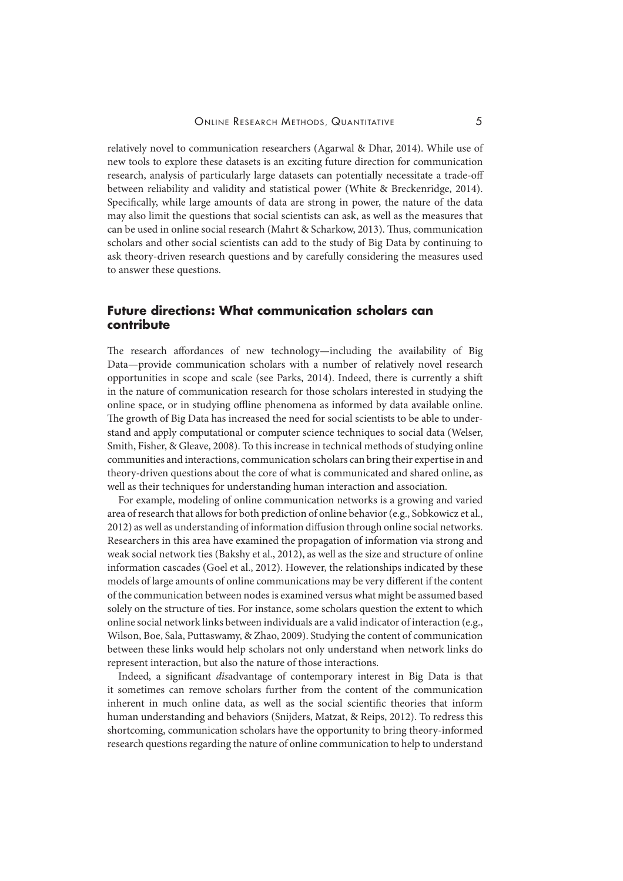relatively novel to communication researchers (Agarwal & Dhar, 2014). While use of new tools to explore these datasets is an exciting future direction for communication research, analysis of particularly large datasets can potentially necessitate a trade-off between reliability and validity and statistical power (White & Breckenridge, 2014). Specifically, while large amounts of data are strong in power, the nature of the data may also limit the questions that social scientists can ask, as well as the measures that can be used in online social research (Mahrt & Scharkow, 2013). Thus, communication scholars and other social scientists can add to the study of Big Data by continuing to ask theory-driven research questions and by carefully considering the measures used to answer these questions.

## **Future directions: What communication scholars can contribute**

The research affordances of new technology—including the availability of Big Data—provide communication scholars with a number of relatively novel research opportunities in scope and scale (see Parks, 2014). Indeed, there is currently a shift in the nature of communication research for those scholars interested in studying the online space, or in studying offline phenomena as informed by data available online. The growth of Big Data has increased the need for social scientists to be able to understand and apply computational or computer science techniques to social data (Welser, Smith, Fisher, & Gleave, 2008). To this increase in technical methods of studying online communities and interactions, communication scholars can bring their expertise in and theory-driven questions about the core of what is communicated and shared online, as well as their techniques for understanding human interaction and association.

For example, modeling of online communication networks is a growing and varied area of research that allows for both prediction of online behavior (e.g., Sobkowicz et al., 2012) as well as understanding of information diffusion through online social networks. Researchers in this area have examined the propagation of information via strong and weak social network ties (Bakshy et al., 2012), as well as the size and structure of online information cascades (Goel et al., 2012). However, the relationships indicated by these models of large amounts of online communications may be very different if the content of the communication between nodes is examined versus what might be assumed based solely on the structure of ties. For instance, some scholars question the extent to which online social network links between individuals are a valid indicator of interaction (e.g., Wilson, Boe, Sala, Puttaswamy, & Zhao, 2009). Studying the content of communication between these links would help scholars not only understand when network links do represent interaction, but also the nature of those interactions.

Indeed, a significant *dis*advantage of contemporary interest in Big Data is that it sometimes can remove scholars further from the content of the communication inherent in much online data, as well as the social scientific theories that inform human understanding and behaviors (Snijders, Matzat, & Reips, 2012). To redress this shortcoming, communication scholars have the opportunity to bring theory-informed research questions regarding the nature of online communication to help to understand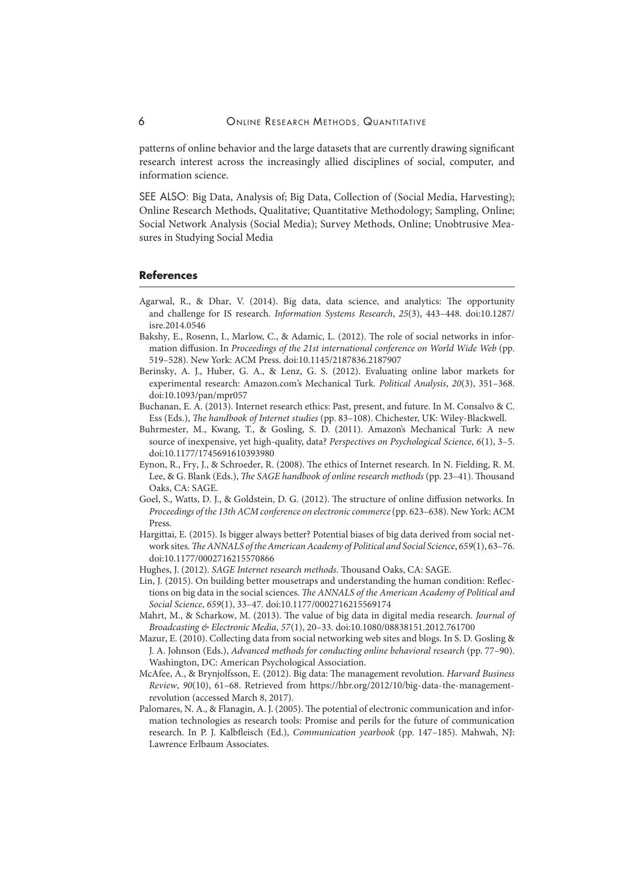patterns of online behavior and the large datasets that are currently drawing significant research interest across the increasingly allied disciplines of social, computer, and information science.

SEE ALSO: Big Data, Analysis of; Big Data, Collection of (Social Media, Harvesting); Online Research Methods, Qualitative; Quantitative Methodology; Sampling, Online; Social Network Analysis (Social Media); Survey Methods, Online; Unobtrusive Measures in Studying Social Media

#### **References**

- Agarwal, R., & Dhar, V. (2014). Big data, data science, and analytics: The opportunity and challenge for IS research. *Information Systems Research*, *25*(3), 443–448. doi:10.1287/ isre.2014.0546
- Bakshy, E., Rosenn, I., Marlow, C., & Adamic, L. (2012). The role of social networks in information diffusion. In *Proceedings of the 21st international conference on World Wide Web* (pp. 519–528). New York: ACM Press. doi:10.1145/2187836.2187907
- Berinsky, A. J., Huber, G. A., & Lenz, G. S. (2012). Evaluating online labor markets for experimental research: Amazon.com's Mechanical Turk. *Political Analysis*, *20*(3), 351–368. doi:10.1093/pan/mpr057
- Buchanan, E. A. (2013). Internet research ethics: Past, present, and future. In M. Consalvo & C. Ess (Eds.), *The handbook of Internet studies* (pp. 83–108). Chichester, UK: Wiley-Blackwell.
- Buhrmester, M., Kwang, T., & Gosling, S. D. (2011). Amazon's Mechanical Turk: A new source of inexpensive, yet high-quality, data? *Perspectives on Psychological Science*, *6*(1), 3–5. doi:10.1177/1745691610393980
- Eynon, R., Fry, J., & Schroeder, R. (2008). The ethics of Internet research. In N. Fielding, R. M. Lee, & G. Blank (Eds.), *The SAGE handbook of online research methods* (pp. 23–41). Thousand Oaks, CA: SAGE.
- Goel, S., Watts, D. J., & Goldstein, D. G. (2012). The structure of online diffusion networks. In *Proceedings of the 13th ACM conference on electronic commerce* (pp. 623–638). New York: ACM Press.
- Hargittai, E. (2015). Is bigger always better? Potential biases of big data derived from social network sites.*The ANNALS of the American Academy of Political and Social Science*, *659*(1), 63–76. doi:10.1177/0002716215570866
- Hughes, J. (2012). *SAGE Internet research methods*. Thousand Oaks, CA: SAGE.
- Lin, J. (2015). On building better mousetraps and understanding the human condition: Reflections on big data in the social sciences. *The ANNALS of the American Academy of Political and Social Science*, *659*(1), 33–47. doi:10.1177/0002716215569174
- Mahrt, M., & Scharkow, M. (2013). The value of big data in digital media research. *Journal of Broadcasting & Electronic Media*, *57*(1), 20–33. doi:10.1080/08838151.2012.761700
- Mazur, E. (2010). Collecting data from social networking web sites and blogs. In S. D. Gosling & J. A. Johnson (Eds.), *Advanced methods for conducting online behavioral research* (pp. 77–90). Washington, DC: American Psychological Association.
- McAfee, A., & Brynjolfsson, E. (2012). Big data: The management revolution. *Harvard Business Review*, *90*(10), 61–68. Retrieved from https://hbr.org/2012/10/big-data-the-managementrevolution (accessed March 8, 2017).
- Palomares, N. A., & Flanagin, A. J. (2005). The potential of electronic communication and information technologies as research tools: Promise and perils for the future of communication research. In P. J. Kalbfleisch (Ed.), *Communication yearbook* (pp. 147–185). Mahwah, NJ: Lawrence Erlbaum Associates.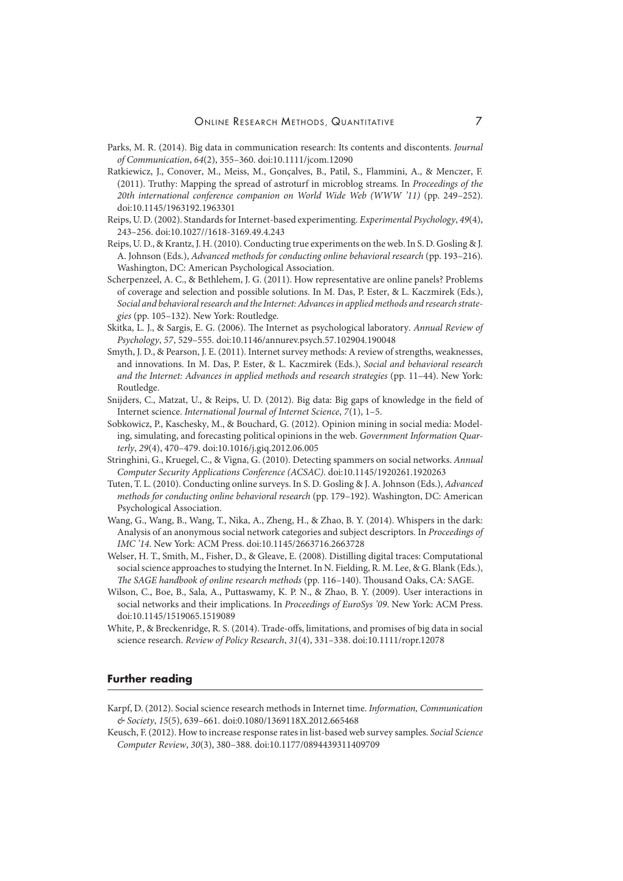- Parks, M. R. (2014). Big data in communication research: Its contents and discontents. *Journal of Communication*, *64*(2), 355–360. doi:10.1111/jcom.12090
- Ratkiewicz, J., Conover, M., Meiss, M., Gonçalves, B., Patil, S., Flammini, A., & Menczer, F. (2011). Truthy: Mapping the spread of astroturf in microblog streams. In *Proceedings of the 20th international conference companion on World Wide Web (WWW '11)* (pp. 249–252). doi:10.1145/1963192.1963301
- Reips, U. D. (2002). Standards for Internet-based experimenting. *Experimental Psychology*, *49*(4), 243–256. doi:10.1027//1618-3169.49.4.243
- Reips, U. D., & Krantz, J. H. (2010). Conducting true experiments on the web. In S. D. Gosling & J. A. Johnson (Eds.), *Advanced methods for conducting online behavioral research* (pp. 193–216). Washington, DC: American Psychological Association.
- Scherpenzeel, A. C., & Bethlehem, J. G. (2011). How representative are online panels? Problems of coverage and selection and possible solutions. In M. Das, P. Ester, & L. Kaczmirek (Eds.), *Social and behavioral research and the Internet: Advances in applied methods and research strategies* (pp. 105–132). New York: Routledge.
- Skitka, L. J., & Sargis, E. G. (2006). The Internet as psychological laboratory. *Annual Review of Psychology*, *57*, 529–555. doi:10.1146/annurev.psych.57.102904.190048
- Smyth, J. D., & Pearson, J. E. (2011). Internet survey methods: A review of strengths, weaknesses, and innovations. In M. Das, P. Ester, & L. Kaczmirek (Eds.), *Social and behavioral research and the Internet: Advances in applied methods and research strategies* (pp. 11–44). New York: Routledge.
- Snijders, C., Matzat, U., & Reips, U. D. (2012). Big data: Big gaps of knowledge in the field of Internet science. *International Journal of Internet Science*, *7*(1), 1–5.
- Sobkowicz, P., Kaschesky, M., & Bouchard, G. (2012). Opinion mining in social media: Modeling, simulating, and forecasting political opinions in the web. *Government Information Quarterly*, *29*(4), 470–479. doi:10.1016/j.giq.2012.06.005
- Stringhini, G., Kruegel, C., & Vigna, G. (2010). Detecting spammers on social networks. *Annual Computer Security Applications Conference (ACSAC)*. doi:10.1145/1920261.1920263
- Tuten, T. L. (2010). Conducting online surveys. In S. D. Gosling & J. A. Johnson (Eds.), *Advanced methods for conducting online behavioral research* (pp. 179–192). Washington, DC: American Psychological Association.
- Wang, G., Wang, B., Wang, T., Nika, A., Zheng, H., & Zhao, B. Y. (2014). Whispers in the dark: Analysis of an anonymous social network categories and subject descriptors. In *Proceedings of IMC '14*. New York: ACM Press. doi:10.1145/2663716.2663728
- Welser, H. T., Smith, M., Fisher, D., & Gleave, E. (2008). Distilling digital traces: Computational social science approaches to studying the Internet. In N. Fielding, R. M. Lee, & G. Blank (Eds.), *The SAGE handbook of online research methods* (pp. 116–140). Thousand Oaks, CA: SAGE.
- Wilson, C., Boe, B., Sala, A., Puttaswamy, K. P. N., & Zhao, B. Y. (2009). User interactions in social networks and their implications. In *Proceedings of EuroSys '09*. New York: ACM Press. doi:10.1145/1519065.1519089
- White, P., & Breckenridge, R. S. (2014). Trade-offs, limitations, and promises of big data in social science research. *Review of Policy Research*, *31*(4), 331–338. doi:10.1111/ropr.12078

#### **Further reading**

- Karpf, D. (2012). Social science research methods in Internet time. *Information, Communication & Society*, *15*(5), 639–661. doi:0.1080/1369118X.2012.665468
- Keusch, F. (2012). How to increase response rates in list-based web survey samples. *Social Science Computer Review*, *30*(3), 380–388. doi:10.1177/0894439311409709